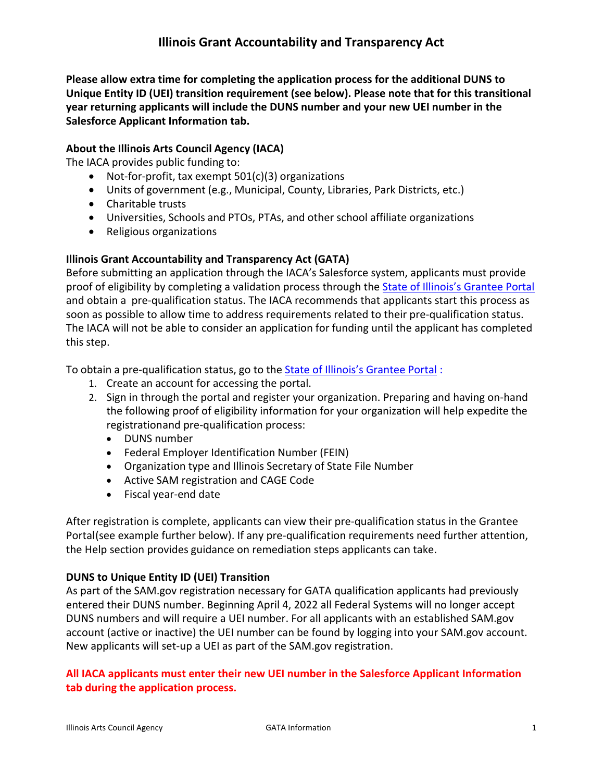**Please allow extra time for completing the application process for the additional DUNS to Unique Entity ID (UEI) transition requirement (see below). Please note that for this transitional year returning applicants will include the DUNS number and your new UEI number in the Salesforce Applicant Information tab.**

## **About the Illinois Arts Council Agency (IACA)**

The IACA provides public funding to:

- Not-for-profit, tax exempt 501(c)(3) organizations
- Units of government (e.g., Municipal, County, Libraries, Park Districts, etc.)
- Charitable trusts
- Universities, Schools and PTOs, PTAs, and other school affiliate organizations
- Religious organizations

## **Illinois Grant Accountability and Transparency Act (GATA)**

Before submitting an application through the IACA's Salesforce system, applicants must provide proof of eligibility by completing a validation process through the [State of Illinois's Grantee Portal](https://grants.illinois.gov/portal/) and obtain a pre-qualification status. The IACA recommends that applicants start this process as soon as possible to allow time to address requirements related to their pre-qualification status. The IACA will not be able to consider an application for funding until the applicant has completed this step.

To obtain a pre-qualification status, go to the [State of Illinois's Grantee Portal](https://grants.illinois.gov/portal/) :

- 1. Create an account for accessing the portal.
- 2. Sign in through the portal and register your organization. Preparing and having on-hand the following proof of eligibility information for your organization will help expedite the registrationand pre-qualification process:
	- DUNS number
	- Federal Employer Identification Number (FEIN)
	- Organization type and Illinois Secretary of State File Number
	- Active SAM registration and CAGE Code
	- Fiscal year-end date

After registration is complete, applicants can view their pre-qualification status in the Grantee Portal(see example further below). If any pre-qualification requirements need further attention, the Help section provides guidance on remediation steps applicants can take.

## **DUNS to Unique Entity ID (UEI) Transition**

As part of the SAM.gov registration necessary for GATA qualification applicants had previously entered their DUNS number. Beginning April 4, 2022 all Federal Systems will no longer accept DUNS numbers and will require a UEI number. For all applicants with an established SAM.gov account (active or inactive) the UEI number can be found by logging into your SAM.gov account. New applicants will set-up a UEI as part of the SAM.gov registration.

## **All IACA applicants must enter their new UEI number in the Salesforce Applicant Information tab during the application process.**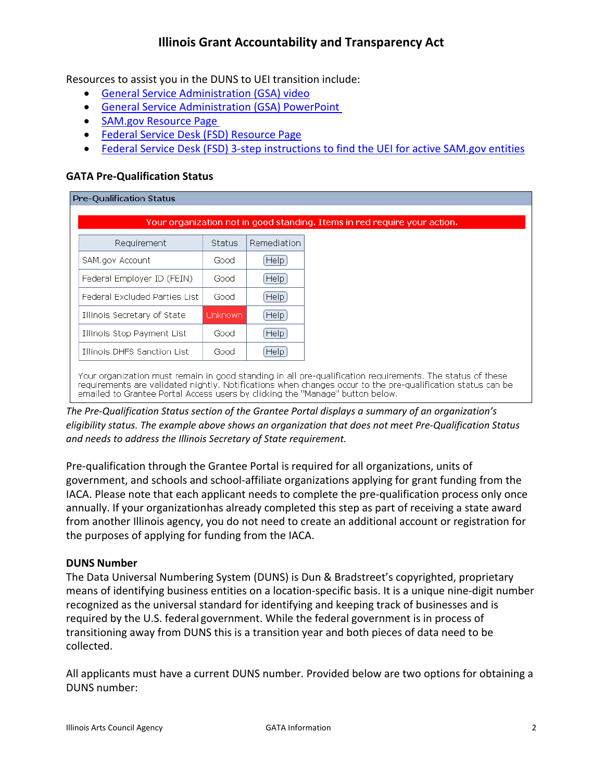Resources to assist you in the DUNS to UEI transition include:

- [General Service Administration \(GSA\) video](https://www.youtube.com/watch?app=desktop&v=4Hqs_L0B5kI)
- [General Service Administration \(GSA\) PowerPoint](https://arts.illinois.gov/sites/default/files/content/Getting%20%26%20Accessing%20Your%20Unique%20Entity%20ID%20%28SAM%29%20.pdf)
- [SAM.gov Resource Page](https://sam.gov/content/duns-uei)
- [Federal Service Desk](https://www.fsd.gov/gsafsd_sp?id=gsafsd_kb_articles&sys_id=e31c534f1b40c1103565ed3ce54bcbce) (FSD) Resource Page
- [Federal Service Desk \(FSD\) 3-step instructions to find the UEI for active SAM.gov entities](https://www.fsd.gov/gsafsd_sp?id=kb_article_view&sysparm_article=KB0041254&sys_kb_id=a05adbae1b59f8982fe5ed7ae54bcbba&spa=1)

## **GATA Pre-Qualification Status**

#### **Pre-Qualification Status**

| $He$ $ p $<br>SAM.gov Account<br>Good           |
|-------------------------------------------------|
|                                                 |
| He[p]<br>Federal Employer ID (FEIN)<br>Good     |
| HeIp<br>Federal Excluded Parties List<br>Good   |
| Help)<br>Unknown<br>Illinois Secretary of State |
| He[p]<br>Illinois Stop Payment List<br>Good     |
| He[p]<br>Illinois DHFS Sanction List<br>Good    |

*The Pre-Qualification Status section of the Grantee Portal displays a summary of an organization's eligibility status. The example above shows an organization that does not meet Pre-Qualification Status and needs to address the Illinois Secretary of State requirement.*

Pre-qualification through the Grantee Portal is required for all organizations, units of government, and schools and school-affiliate organizations applying for grant funding from the IACA. Please note that each applicant needs to complete the pre-qualification process only once annually. If your organizationhas already completed this step as part of receiving a state award from another Illinois agency, you do not need to create an additional account or registration for the purposes of applying for funding from the IACA.

#### <span id="page-1-0"></span>**DUNS Number**

The Data Universal Numbering System (DUNS) is Dun & Bradstreet's copyrighted, proprietary means of identifying business entities on a location-specific basis. It is a unique nine-digit number recognized as the universal standard for identifying and keeping track of businesses and is required by the U.S. federal government. While the federal government is in process of transitioning away from DUNS this is a transition year and both pieces of data need to be collected.

All applicants must have a current DUNS number. Provided below are two options for obtaining a DUNS number: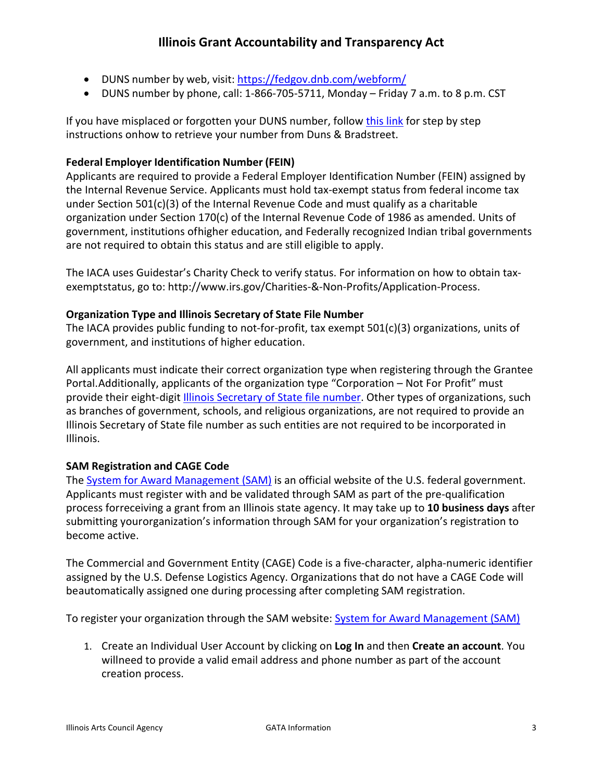- DUNS number by web, visit: <https://fedgov.dnb.com/webform/>
- DUNS number by phone, call: 1-866-705-5711, Monday Friday 7 a.m. to 8 p.m. CST

If you have misplaced or forgotten your DUNS number, follow [this link](http://arts.illinois.gov/files/content/DUNS%20Verification.pdf) for step by step instructions onhow to retrieve your number from Duns & Bradstreet.

## **Federal Employer Identification Number (FEIN)**

Applicants are required to provide a Federal Employer Identification Number (FEIN) assigned by the Internal Revenue Service. Applicants must hold tax-exempt status from federal income tax under Section 501(c)(3) of the Internal Revenue Code and must qualify as a charitable organization under Section 170(c) of the Internal Revenue Code of 1986 as amended. Units of government, institutions ofhigher education, and Federally recognized Indian tribal governments are not required to obtain this status and are still eligible to apply.

The IACA uses Guidestar's Charity Check to verify status. For information on how to obtain taxexemptstatus, go to: [http://www.irs.gov/Charities-&-Non-Profits/Application-Process.](http://www.irs.gov/Charities-%26-Non-Profits/Application-Process)

## **Organization Type and Illinois Secretary of State File Number**

The IACA provides public funding to not-for-profit, tax exempt 501(c)(3) organizations, units of government, and institutions of higher education.

All applicants must indicate their correct organization type when registering through the Grantee Portal.Additionally, applicants of the organization type "Corporation – Not For Profit" must provide their eight-digit [Illinois Secretary of State file number.](https://www.ilsos.gov/corporatellc/) Other types of organizations, such as branches of government, schools, and religious organizations, are not required to provide an Illinois Secretary of State file number as such entities are not required to be incorporated in Illinois.

## **SAM Registration and CAGE Code**

The [System for Award Management \(SAM\)](https://sam.gov/SAM/) is an official website of the U.S. federal government. Applicants must register with and be validated through SAM as part of the pre-qualification process forreceiving a grant from an Illinois state agency. It may take up to **10 business days** after submitting yourorganization's information through SAM for your organization's registration to become active.

The Commercial and Government Entity (CAGE) Code is a five-character, alpha-numeric identifier assigned by the U.S. Defense Logistics Agency. Organizations that do not have a CAGE Code will beautomatically assigned one during processing after completing SAM registration.

To register your organization through the SAM website: [System for Award Management \(SAM\)](https://sam.gov/SAM/)

1. Create an Individual User Account by clicking on **Log In** and then **Create an account**. You willneed to provide a valid email address and phone number as part of the account creation process.